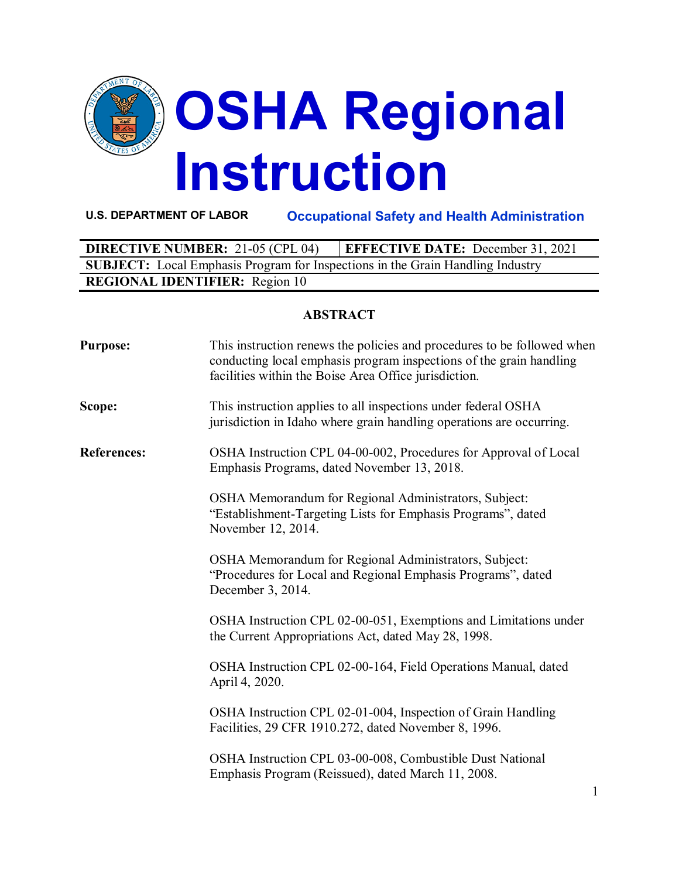

**U.S. DEPARTMENT OF LABOR Occupational Safety and Health Administration**

| <b>DIRECTIVE NUMBER: 21-05 (CPL 04)</b>                                               | <b>EFFECTIVE DATE:</b> December 31, 2021 |  |  |
|---------------------------------------------------------------------------------------|------------------------------------------|--|--|
| <b>SUBJECT:</b> Local Emphasis Program for Inspections in the Grain Handling Industry |                                          |  |  |
| <b>REGIONAL IDENTIFIER:</b> Region 10                                                 |                                          |  |  |

## **ABSTRACT**

| <b>Purpose:</b>    | This instruction renews the policies and procedures to be followed when<br>conducting local emphasis program inspections of the grain handling<br>facilities within the Boise Area Office jurisdiction. |
|--------------------|---------------------------------------------------------------------------------------------------------------------------------------------------------------------------------------------------------|
| Scope:             | This instruction applies to all inspections under federal OSHA<br>jurisdiction in Idaho where grain handling operations are occurring.                                                                  |
| <b>References:</b> | OSHA Instruction CPL 04-00-002, Procedures for Approval of Local<br>Emphasis Programs, dated November 13, 2018.                                                                                         |
|                    | OSHA Memorandum for Regional Administrators, Subject:<br>"Establishment-Targeting Lists for Emphasis Programs", dated<br>November 12, 2014.                                                             |
|                    | OSHA Memorandum for Regional Administrators, Subject:<br>"Procedures for Local and Regional Emphasis Programs", dated<br>December 3, 2014.                                                              |
|                    | OSHA Instruction CPL 02-00-051, Exemptions and Limitations under<br>the Current Appropriations Act, dated May 28, 1998.                                                                                 |
|                    | OSHA Instruction CPL 02-00-164, Field Operations Manual, dated<br>April 4, 2020.                                                                                                                        |
|                    | OSHA Instruction CPL 02-01-004, Inspection of Grain Handling<br>Facilities, 29 CFR 1910.272, dated November 8, 1996.                                                                                    |
|                    | OSHA Instruction CPL 03-00-008, Combustible Dust National<br>Emphasis Program (Reissued), dated March 11, 2008.                                                                                         |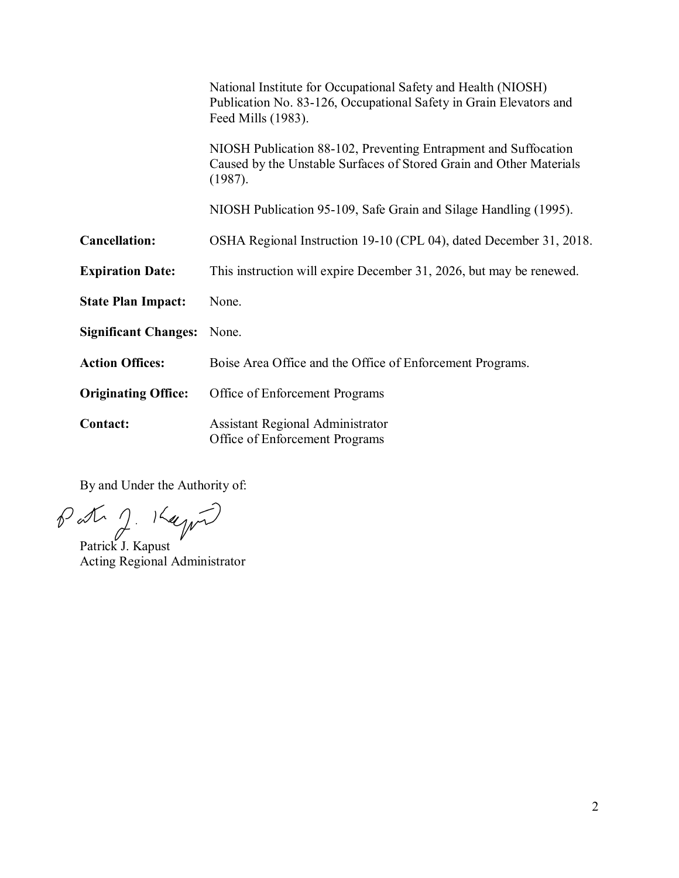|                             | National Institute for Occupational Safety and Health (NIOSH)<br>Publication No. 83-126, Occupational Safety in Grain Elevators and<br>Feed Mills (1983). |
|-----------------------------|-----------------------------------------------------------------------------------------------------------------------------------------------------------|
|                             | NIOSH Publication 88-102, Preventing Entrapment and Suffocation<br>Caused by the Unstable Surfaces of Stored Grain and Other Materials<br>(1987).         |
|                             | NIOSH Publication 95-109, Safe Grain and Silage Handling (1995).                                                                                          |
| <b>Cancellation:</b>        | OSHA Regional Instruction 19-10 (CPL 04), dated December 31, 2018.                                                                                        |
| <b>Expiration Date:</b>     | This instruction will expire December 31, 2026, but may be renewed.                                                                                       |
| <b>State Plan Impact:</b>   | None.                                                                                                                                                     |
| <b>Significant Changes:</b> | None.                                                                                                                                                     |
| <b>Action Offices:</b>      | Boise Area Office and the Office of Enforcement Programs.                                                                                                 |
| <b>Originating Office:</b>  | Office of Enforcement Programs                                                                                                                            |
| <b>Contact:</b>             | Assistant Regional Administrator<br>Office of Enforcement Programs                                                                                        |

By and Under the Authority of:

Patrick J. Kapust

Acting Regional Administrator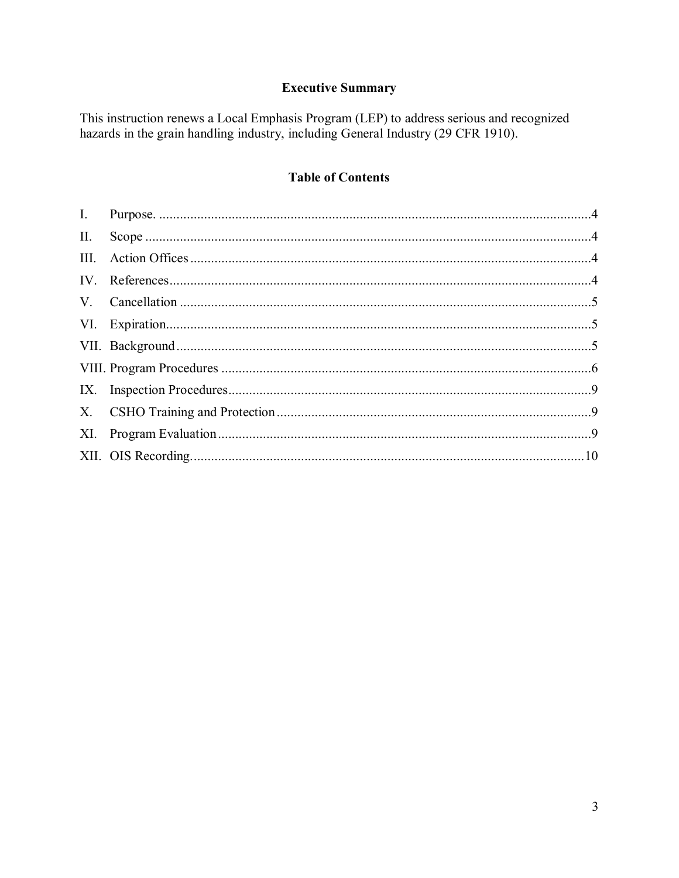# **Executive Summary**

This instruction renews a Local Emphasis Program (LEP) to address serious and recognized hazards in the grain handling industry, including General Industry (29 CFR 1910).

# **Table of Contents**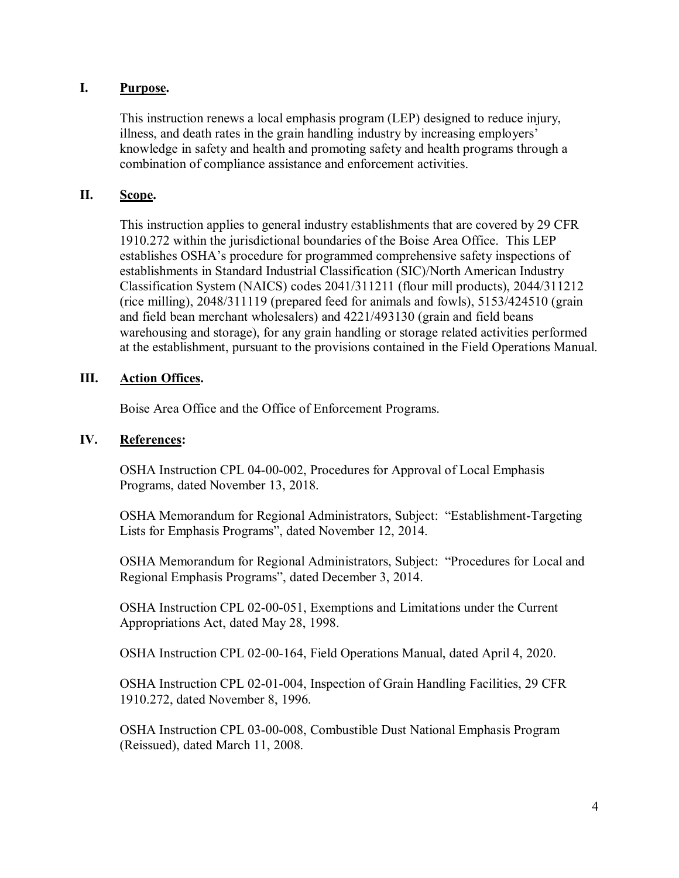## <span id="page-3-0"></span>**I. Purpose.**

This instruction renews a local emphasis program (LEP) designed to reduce injury, illness, and death rates in the grain handling industry by increasing employers' knowledge in safety and health and promoting safety and health programs through a combination of compliance assistance and enforcement activities.

## <span id="page-3-1"></span>**II. Scope.**

This instruction applies to general industry establishments that are covered by 29 CFR 1910.272 within the jurisdictional boundaries of the Boise Area Office. This LEP establishes OSHA's procedure for programmed comprehensive safety inspections of establishments in Standard Industrial Classification (SIC)/North American Industry Classification System (NAICS) codes 2041/311211 (flour mill products), 2044/311212 (rice milling), 2048/311119 (prepared feed for animals and fowls), 5153/424510 (grain and field bean merchant wholesalers) and 4221/493130 (grain and field beans warehousing and storage), for any grain handling or storage related activities performed at the establishment, pursuant to the provisions contained in the Field Operations Manual.

## <span id="page-3-2"></span>**III. Action Offices.**

Boise Area Office and the Office of Enforcement Programs.

## <span id="page-3-3"></span>**IV. References:**

OSHA Instruction CPL 04-00-002, Procedures for Approval of Local Emphasis Programs, dated November 13, 2018.

OSHA Memorandum for Regional Administrators, Subject: "Establishment-Targeting Lists for Emphasis Programs", dated November 12, 2014.

OSHA Memorandum for Regional Administrators, Subject: "Procedures for Local and Regional Emphasis Programs", dated December 3, 2014.

OSHA Instruction CPL 02-00-051, Exemptions and Limitations under the Current Appropriations Act, dated May 28, 1998.

OSHA Instruction CPL 02-00-164, Field Operations Manual, dated April 4, 2020.

OSHA Instruction CPL 02-01-004, Inspection of Grain Handling Facilities, 29 CFR 1910.272, dated November 8, 1996.

OSHA Instruction CPL 03-00-008, Combustible Dust National Emphasis Program (Reissued), dated March 11, 2008.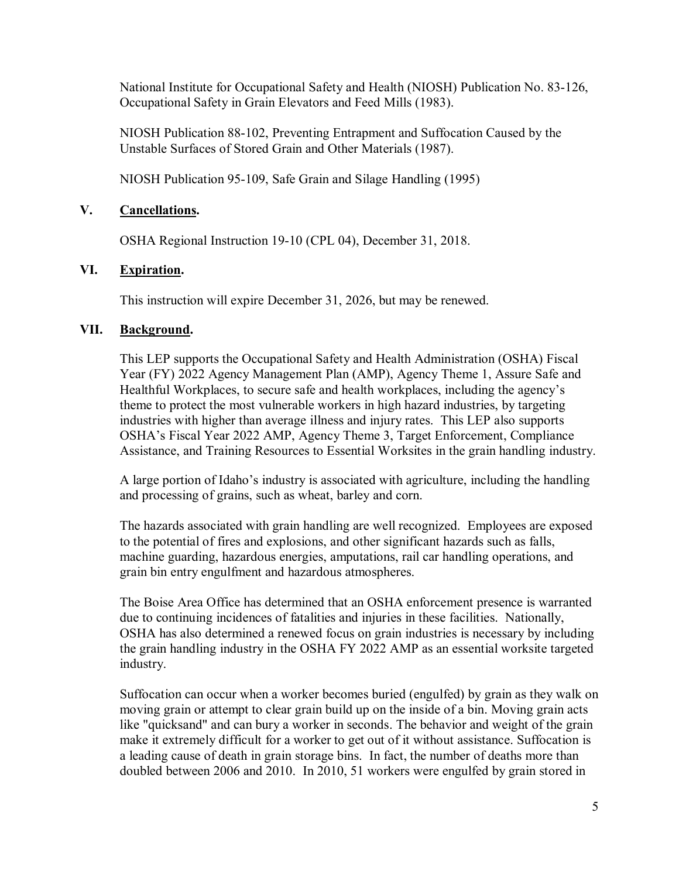National Institute for Occupational Safety and Health (NIOSH) Publication No. 83-126, Occupational Safety in Grain Elevators and Feed Mills (1983).

NIOSH Publication 88-102, Preventing Entrapment and Suffocation Caused by the Unstable Surfaces of Stored Grain and Other Materials (1987).

NIOSH Publication 95-109, Safe Grain and Silage Handling (1995)

## <span id="page-4-0"></span>**V. Cancellations.**

OSHA Regional Instruction 19-10 (CPL 04), December 31, 2018.

## <span id="page-4-1"></span>**VI. Expiration.**

This instruction will expire December 31, 2026, but may be renewed.

## <span id="page-4-2"></span>**VII. Background.**

This LEP supports the Occupational Safety and Health Administration (OSHA) Fiscal Year (FY) 2022 Agency Management Plan (AMP), Agency Theme 1, Assure Safe and Healthful Workplaces, to secure safe and health workplaces, including the agency's theme to protect the most vulnerable workers in high hazard industries, by targeting industries with higher than average illness and injury rates. This LEP also supports OSHA's Fiscal Year 2022 AMP, Agency Theme 3, Target Enforcement, Compliance Assistance, and Training Resources to Essential Worksites in the grain handling industry.

A large portion of Idaho's industry is associated with agriculture, including the handling and processing of grains, such as wheat, barley and corn.

The hazards associated with grain handling are well recognized. Employees are exposed to the potential of fires and explosions, and other significant hazards such as falls, machine guarding, hazardous energies, amputations, rail car handling operations, and grain bin entry engulfment and hazardous atmospheres.

The Boise Area Office has determined that an OSHA enforcement presence is warranted due to continuing incidences of fatalities and injuries in these facilities. Nationally, OSHA has also determined a renewed focus on grain industries is necessary by including the grain handling industry in the OSHA FY 2022 AMP as an essential worksite targeted industry.

Suffocation can occur when a worker becomes buried (engulfed) by grain as they walk on moving grain or attempt to clear grain build up on the inside of a bin. Moving grain acts like "quicksand" and can bury a worker in seconds. The behavior and weight of the grain make it extremely difficult for a worker to get out of it without assistance. Suffocation is a leading cause of death in grain storage bins. In fact, the number of deaths more than doubled between 2006 and 2010. In 2010, 51 workers were engulfed by grain stored in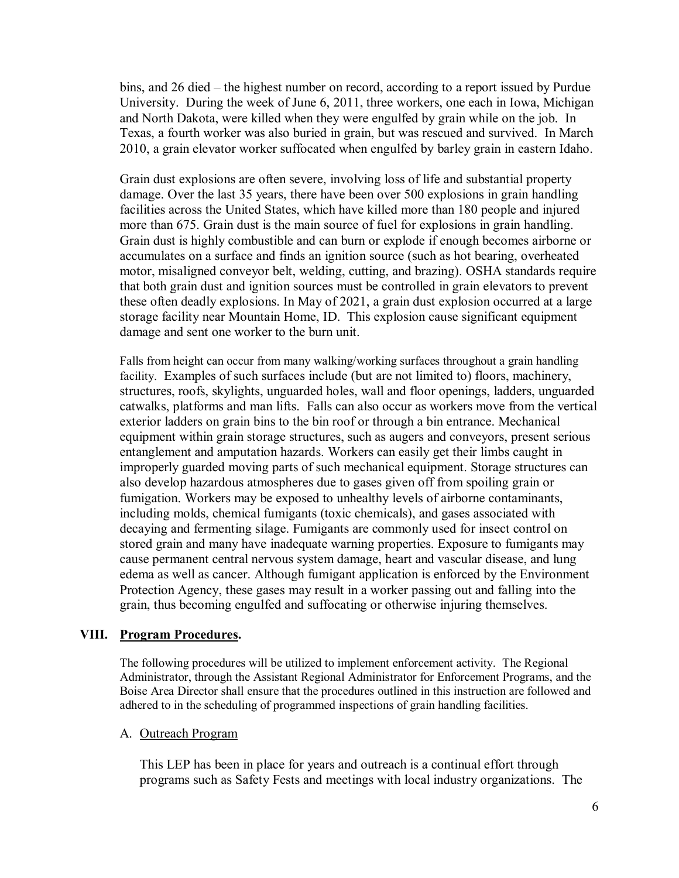bins, and 26 died – the highest number on record, according to a report issued by Purdue University. During the week of June 6, 2011, three workers, one each in Iowa, Michigan and North Dakota, were killed when they were engulfed by grain while on the job. In Texas, a fourth worker was also buried in grain, but was rescued and survived. In March 2010, a grain elevator worker suffocated when engulfed by barley grain in eastern Idaho.

[Grain dust explosions](https://www.osha.gov/SLTC/grainhandling/explosionchart.html) are often severe, involving loss of life and substantial property damage. Over the last 35 years, there have been over 500 explosions in grain handling facilities across the United States, which have killed more than 180 people and injured more than 675. Grain dust is the main source of fuel for explosions in grain handling. Grain dust is highly combustible and can burn or explode if enough becomes airborne or accumulates on a surface and finds an ignition source (such as hot bearing, overheated motor, misaligned conveyor belt, welding, cutting, and brazing). OSHA standards require that both grain dust and ignition sources must be controlled in grain elevators to prevent these often deadly explosions. In May of 2021, a grain dust explosion occurred at a large storage facility near Mountain Home, ID. This explosion cause significant equipment damage and sent one worker to the burn unit.

Falls from height can occur from many walking/working surfaces throughout a grain handling facility. Examples of such surfaces include (but are not limited to) floors, machinery, structures, roofs, skylights, unguarded holes, wall and floor openings, ladders, unguarded catwalks, platforms and man lifts. Falls can also occur as workers move from the vertical exterior ladders on grain bins to the bin roof or through a bin entrance. Mechanical equipment within grain storage structures, such as augers and conveyors, present serious entanglement and amputation hazards. Workers can easily get their limbs caught in improperly guarded moving parts of such mechanical equipment. Storage structures can also develop hazardous atmospheres due to gases given off from spoiling grain or fumigation. Workers may be exposed to unhealthy levels of airborne contaminants, including molds, chemical fumigants (toxic chemicals), and gases associated with decaying and fermenting silage. Fumigants are commonly used for insect control on stored grain and many have inadequate warning properties. Exposure to fumigants may cause permanent central nervous system damage, heart and vascular disease, and lung edema as well as cancer. Although fumigant application is enforced by the Environment Protection Agency, these gases may result in a worker passing out and falling into the grain, thus becoming engulfed and suffocating or otherwise injuring themselves.

## <span id="page-5-0"></span>**VIII. Program Procedures.**

The following procedures will be utilized to implement enforcement activity. The Regional Administrator, through the Assistant Regional Administrator for Enforcement Programs, and the Boise Area Director shall ensure that the procedures outlined in this instruction are followed and adhered to in the scheduling of programmed inspections of grain handling facilities.

## A. Outreach Program

This LEP has been in place for years and outreach is a continual effort through programs such as Safety Fests and meetings with local industry organizations. The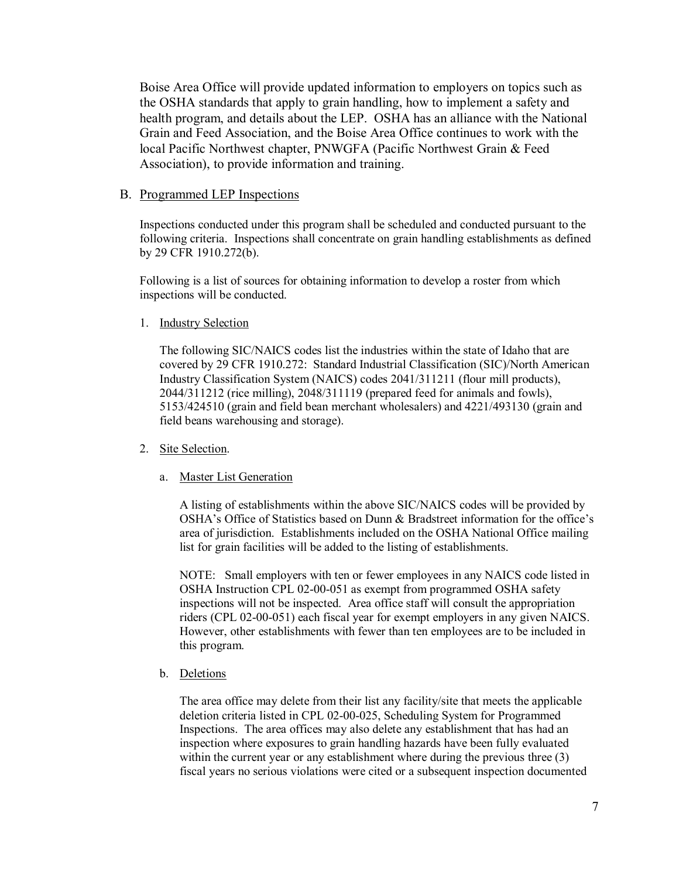Boise Area Office will provide updated information to employers on topics such as the OSHA standards that apply to grain handling, how to implement a safety and health program, and details about the LEP. OSHA has an alliance with the National Grain and Feed Association, and the Boise Area Office continues to work with the local Pacific Northwest chapter, PNWGFA (Pacific Northwest Grain & Feed Association), to provide information and training.

#### B. Programmed LEP Inspections

Inspections conducted under this program shall be scheduled and conducted pursuant to the following criteria. Inspections shall concentrate on grain handling establishments as defined by 29 CFR 1910.272(b).

Following is a list of sources for obtaining information to develop a roster from which inspections will be conducted.

#### 1. Industry Selection

The following SIC/NAICS codes list the industries within the state of Idaho that are covered by 29 CFR 1910.272: Standard Industrial Classification (SIC)/North American Industry Classification System (NAICS) codes 2041/311211 (flour mill products), 2044/311212 (rice milling), 2048/311119 (prepared feed for animals and fowls), 5153/424510 (grain and field bean merchant wholesalers) and 4221/493130 (grain and field beans warehousing and storage).

#### 2. Site Selection.

#### a. Master List Generation

A listing of establishments within the above SIC/NAICS codes will be provided by OSHA's Office of Statistics based on Dunn & Bradstreet information for the office's area of jurisdiction. Establishments included on the OSHA National Office mailing list for grain facilities will be added to the listing of establishments.

NOTE: Small employers with ten or fewer employees in any NAICS code listed in OSHA Instruction CPL 02-00-051 as exempt from programmed OSHA safety inspections will not be inspected. Area office staff will consult the appropriation riders (CPL 02-00-051) each fiscal year for exempt employers in any given NAICS. However, other establishments with fewer than ten employees are to be included in this program.

#### b. Deletions

The area office may delete from their list any facility/site that meets the applicable deletion criteria listed in CPL 02-00-025, Scheduling System for Programmed Inspections. The area offices may also delete any establishment that has had an inspection where exposures to grain handling hazards have been fully evaluated within the current year or any establishment where during the previous three (3) fiscal years no serious violations were cited or a subsequent inspection documented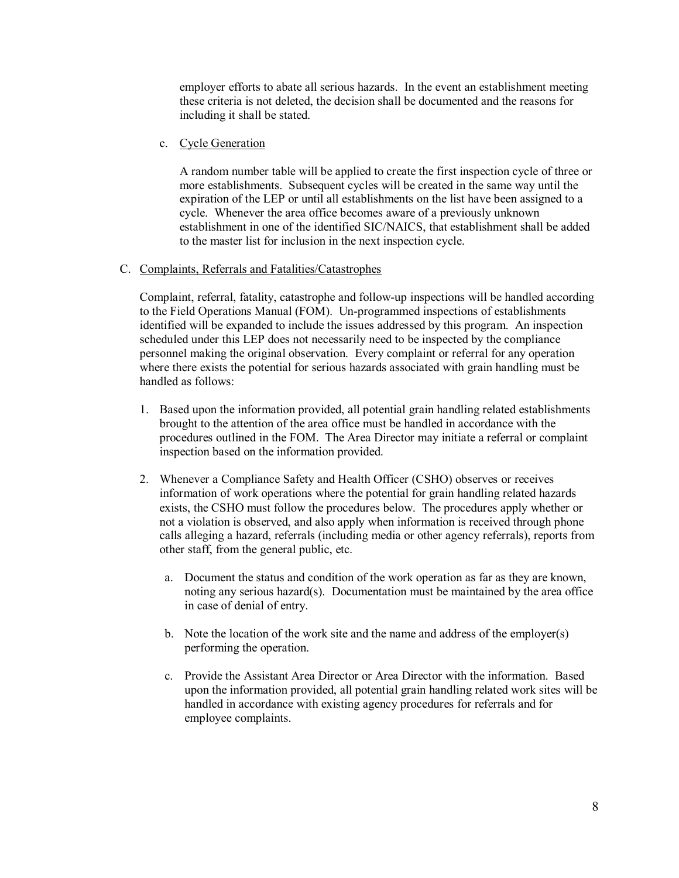employer efforts to abate all serious hazards. In the event an establishment meeting these criteria is not deleted, the decision shall be documented and the reasons for including it shall be stated.

c. Cycle Generation

A random number table will be applied to create the first inspection cycle of three or more establishments. Subsequent cycles will be created in the same way until the expiration of the LEP or until all establishments on the list have been assigned to a cycle. Whenever the area office becomes aware of a previously unknown establishment in one of the identified SIC/NAICS, that establishment shall be added to the master list for inclusion in the next inspection cycle.

#### C. Complaints, Referrals and Fatalities/Catastrophes

Complaint, referral, fatality, catastrophe and follow-up inspections will be handled according to the Field Operations Manual (FOM). Un-programmed inspections of establishments identified will be expanded to include the issues addressed by this program. An inspection scheduled under this LEP does not necessarily need to be inspected by the compliance personnel making the original observation. Every complaint or referral for any operation where there exists the potential for serious hazards associated with grain handling must be handled as follows:

- 1. Based upon the information provided, all potential grain handling related establishments brought to the attention of the area office must be handled in accordance with the procedures outlined in the FOM. The Area Director may initiate a referral or complaint inspection based on the information provided.
- 2. Whenever a Compliance Safety and Health Officer (CSHO) observes or receives information of work operations where the potential for grain handling related hazards exists, the CSHO must follow the procedures below. The procedures apply whether or not a violation is observed, and also apply when information is received through phone calls alleging a hazard, referrals (including media or other agency referrals), reports from other staff, from the general public, etc.
	- a. Document the status and condition of the work operation as far as they are known, noting any serious hazard(s). Documentation must be maintained by the area office in case of denial of entry.
	- b. Note the location of the work site and the name and address of the employer(s) performing the operation.
	- c. Provide the Assistant Area Director or Area Director with the information. Based upon the information provided, all potential grain handling related work sites will be handled in accordance with existing agency procedures for referrals and for employee complaints.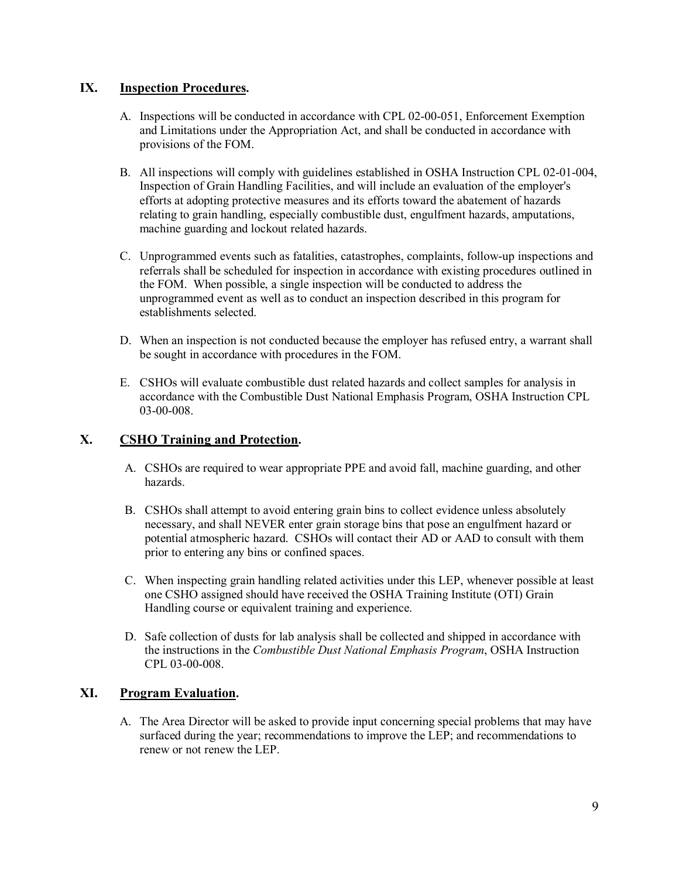## <span id="page-8-0"></span>**IX. Inspection Procedures.**

- A. Inspections will be conducted in accordance with CPL 02-00-051, Enforcement Exemption and Limitations under the Appropriation Act, and shall be conducted in accordance with provisions of the FOM.
- B. All inspections will comply with guidelines established in OSHA Instruction CPL 02-01-004, Inspection of Grain Handling Facilities, and will include an evaluation of the employer's efforts at adopting protective measures and its efforts toward the abatement of hazards relating to grain handling, especially combustible dust, engulfment hazards, amputations, machine guarding and lockout related hazards.
- C. Unprogrammed events such as fatalities, catastrophes, complaints, follow-up inspections and referrals shall be scheduled for inspection in accordance with existing procedures outlined in the FOM. When possible, a single inspection will be conducted to address the unprogrammed event as well as to conduct an inspection described in this program for establishments selected.
- D. When an inspection is not conducted because the employer has refused entry, a warrant shall be sought in accordance with procedures in the FOM.
- E. CSHOs will evaluate combustible dust related hazards and collect samples for analysis in accordance with the Combustible Dust National Emphasis Program, OSHA Instruction CPL 03-00-008.

## <span id="page-8-1"></span>**X. CSHO Training and Protection.**

- A. CSHOs are required to wear appropriate PPE and avoid fall, machine guarding, and other hazards.
- B. CSHOs shall attempt to avoid entering grain bins to collect evidence unless absolutely necessary, and shall NEVER enter grain storage bins that pose an engulfment hazard or potential atmospheric hazard. CSHOs will contact their AD or AAD to consult with them prior to entering any bins or confined spaces.
- C. When inspecting grain handling related activities under this LEP, whenever possible at least one CSHO assigned should have received the OSHA Training Institute (OTI) Grain Handling course or equivalent training and experience.
- D. Safe collection of dusts for lab analysis shall be collected and shipped in accordance with the instructions in the *Combustible Dust National Emphasis Program*, OSHA Instruction CPL 03-00-008.

## <span id="page-8-2"></span>**XI. Program Evaluation.**

A. The Area Director will be asked to provide input concerning special problems that may have surfaced during the year; recommendations to improve the LEP; and recommendations to renew or not renew the LEP.